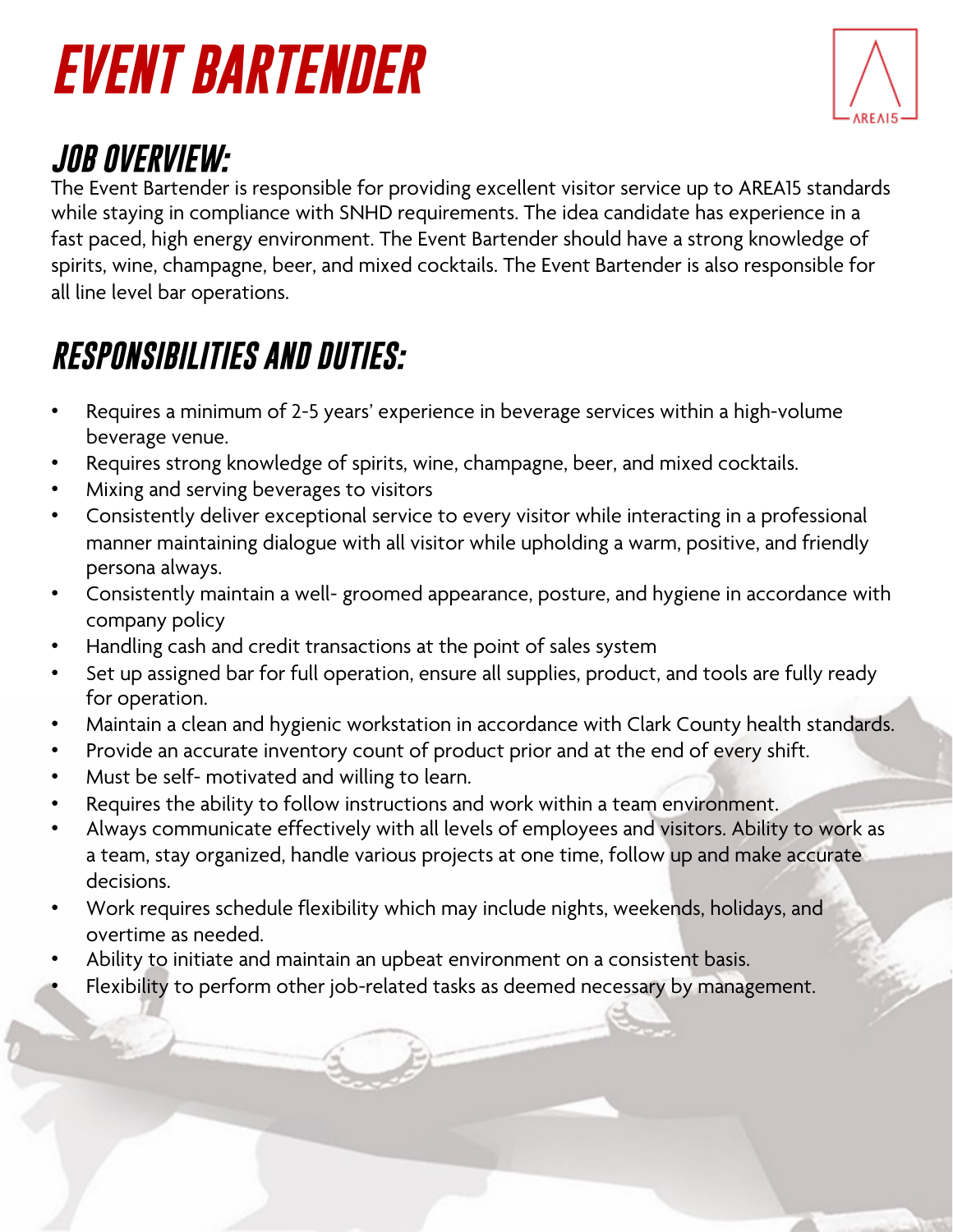# *EVENT BARTENDER*



### *JOB OVERVIEW:*

The Event Bartender is responsible for providing excellent visitor service up to AREA15 standards while staying in compliance with SNHD requirements. The idea candidate has experience in a fast paced, high energy environment. The Event Bartender should have a strong knowledge of spirits, wine, champagne, beer, and mixed cocktails. The Event Bartender is also responsible for all line level bar operations.

### *RESPONSIBILITIES AND DUTIES:*

- Requires a minimum of 2-5 years' experience in beverage services within a high-volume beverage venue.
- Requires strong knowledge of spirits, wine, champagne, beer, and mixed cocktails.
- Mixing and serving beverages to visitors
- Consistently deliver exceptional service to every visitor while interacting in a professional manner maintaining dialogue with all visitor while upholding a warm, positive, and friendly persona always.
- Consistently maintain a well- groomed appearance, posture, and hygiene in accordance with company policy
- Handling cash and credit transactions at the point of sales system
- Set up assigned bar for full operation, ensure all supplies, product, and tools are fully ready for operation.
- Maintain a clean and hygienic workstation in accordance with Clark County health standards.
- Provide an accurate inventory count of product prior and at the end of every shift.
- Must be self- motivated and willing to learn.
- Requires the ability to follow instructions and work within a team environment.
- Always communicate effectively with all levels of employees and visitors. Ability to work as a team, stay organized, handle various projects at one time, follow up and make accurate decisions.
- Work requires schedule flexibility which may include nights, weekends, holidays, and overtime as needed.
- Ability to initiate and maintain an upbeat environment on a consistent basis.
- Flexibility to perform other job-related tasks as deemed necessary by management.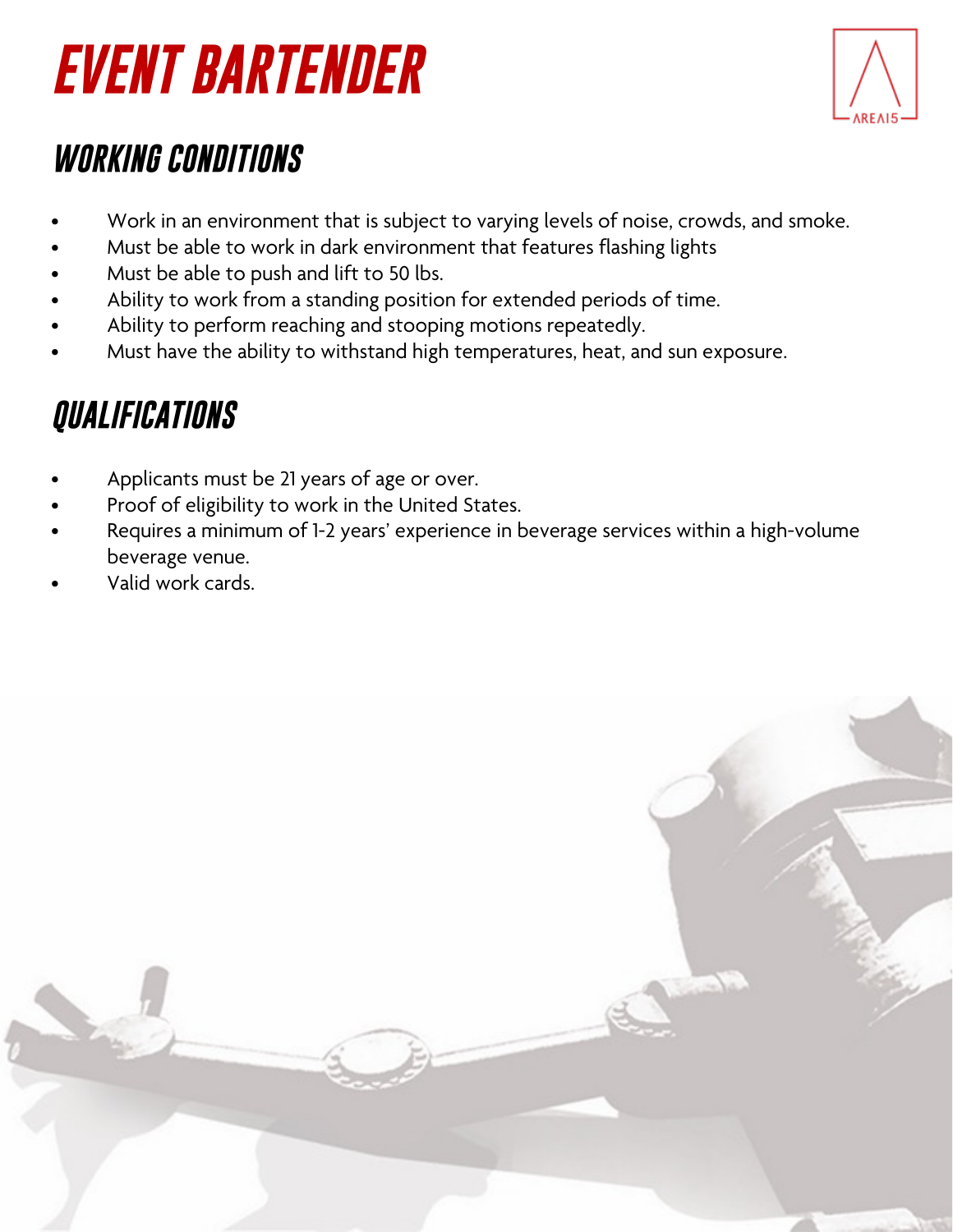### *EVENT BARTENDER*



#### *WORKING CONDITIONS*

- Work in an environment that is subject to varying levels of noise, crowds, and smoke.
- Must be able to work in dark environment that features flashing lights
- Must be able to push and lift to 50 lbs.
- Ability to work from a standing position for extended periods of time.
- Ability to perform reaching and stooping motions repeatedly.
- Must have the ability to withstand high temperatures, heat, and sun exposure.

### *QUALIFICATIONS*

- Applicants must be 21 years of age or over.
- Proof of eligibility to work in the United States.
- Requires a minimum of 1-2 years' experience in beverage services within a high-volume beverage venue.
- Valid work cards.